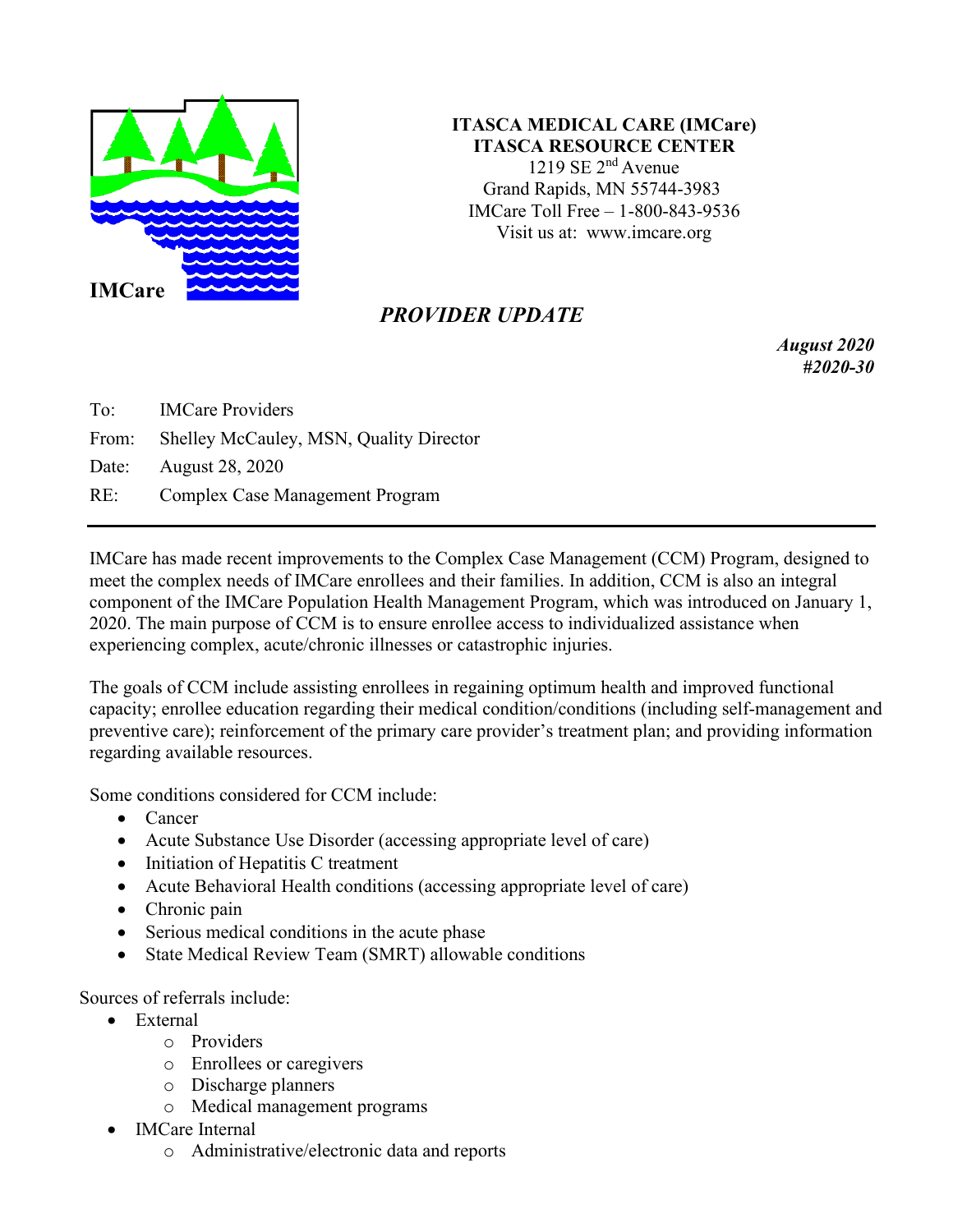

**ITASCA MEDICAL CARE (IMCare) ITASCA RESOURCE CENTER** 1219 SE  $2<sup>nd</sup>$  Avenue Grand Rapids, MN 55744-3983 IMCare Toll Free – 1-800-843-9536 Visit us at: [www.imcare.org](http://www.imcare.org/)

## *PROVIDER UPDATE*

*August 2020 #2020-30*

To: IMCare Providers From: Shelley McCauley, MSN, Quality Director Date: August 28, 2020 RE: Complex Case Management Program

IMCare has made recent improvements to the Complex Case Management (CCM) Program, designed to meet the complex needs of IMCare enrollees and their families. In addition, CCM is also an integral component of the IMCare Population Health Management Program, which was introduced on January 1, 2020. The main purpose of CCM is to ensure enrollee access to individualized assistance when experiencing complex, acute/chronic illnesses or catastrophic injuries.

The goals of CCM include assisting enrollees in regaining optimum health and improved functional capacity; enrollee education regarding their medical condition/conditions (including self-management and preventive care); reinforcement of the primary care provider's treatment plan; and providing information regarding available resources.

Some conditions considered for CCM include:

- Cancer
- Acute Substance Use Disorder (accessing appropriate level of care)
- Initiation of Hepatitis C treatment
- Acute Behavioral Health conditions (accessing appropriate level of care)
- Chronic pain
- Serious medical conditions in the acute phase
- State Medical Review Team (SMRT) allowable conditions

Sources of referrals include:

- External
	- o Providers
	- o Enrollees or caregivers
	- o Discharge planners
	- o Medical management programs
- IMCare Internal
	- o Administrative/electronic data and reports